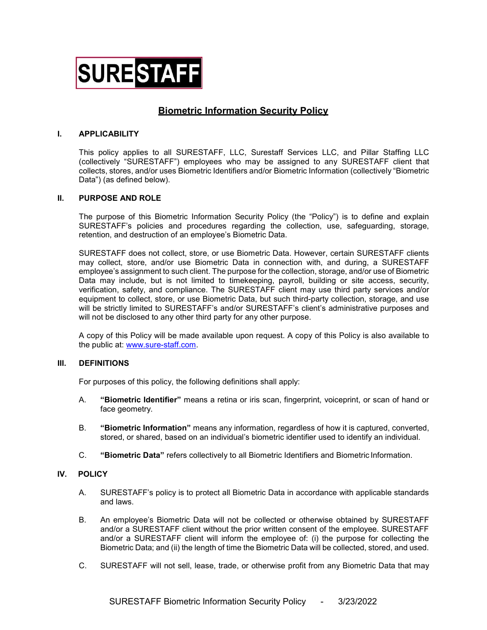

# **Biometric Information Security Policy**

## I. APPLICABILITY

This policy applies to all SURESTAFF, LLC, Surestaff Services LLC, and Pillar Staffing LLC (collectively "SURESTAFF") employees who may be assigned to any SURESTAFF client that collects, stores, and/or uses Biometric Identifiers and/or Biometric Information (collectively "Biometric Data") (as defined below).

#### II. PURPOSE AND ROLE

The purpose of this Biometric Information Security Policy (the "Policy") is to define and explain SURESTAFF's policies and procedures regarding the collection, use, safeguarding, storage, retention, and destruction of an employee's Biometric Data.

SURESTAFF does not collect, store, or use Biometric Data. However, certain SURESTAFF clients may collect, store, and/or use Biometric Data in connection with, and during, a SURESTAFF employee's assignment to such client. The purpose for the collection, storage, and/or use of Biometric Data may include, but is not limited to timekeeping, payroll, building or site access, security, verification, safety, and compliance. The SURESTAFF client may use third party services and/or equipment to collect, store, or use Biometric Data, but such third-party collection, storage, and use will be strictly limited to SURESTAFF's and/or SURESTAFF's client's administrative purposes and will not be disclosed to any other third party for any other purpose.

A copy of this Policy will be made available upon request. A copy of this Policy is also available to the public at: www.sure-staff.com.

#### III. DEFINITIONS

For purposes of this policy, the following definitions shall apply:

- A. "Biometric Identifier" means a retina or iris scan, fingerprint, voiceprint, or scan of hand or face geometry.
- B. "Biometric Information" means any information, regardless of how it is captured, converted, stored, or shared, based on an individual's biometric identifier used to identify an individual.
- C. "Biometric Data" refers collectively to all Biometric Identifiers and Biometric Information.

## IV. POLICY

- A. SURESTAFF's policy is to protect all Biometric Data in accordance with applicable standards and laws.
- B. An employee's Biometric Data will not be collected or otherwise obtained by SURESTAFF and/or a SURESTAFF client without the prior written consent of the employee. SURESTAFF and/or a SURESTAFF client will inform the employee of: (i) the purpose for collecting the Biometric Data; and (ii) the length of time the Biometric Data will be collected, stored, and used.
- C. SURESTAFF will not sell, lease, trade, or otherwise profit from any Biometric Data that may